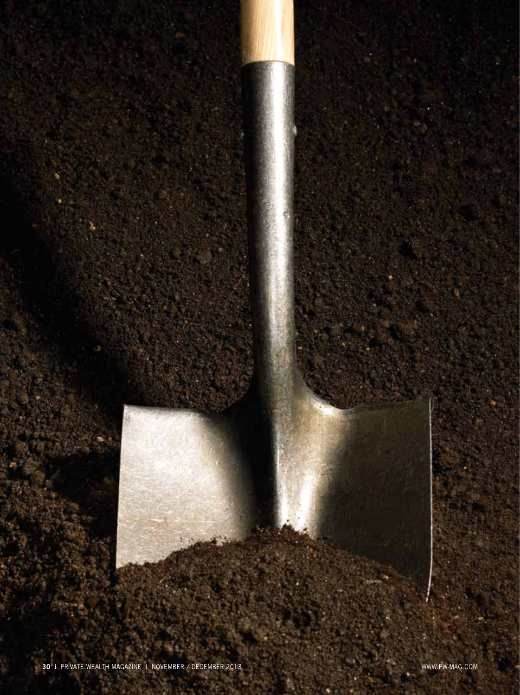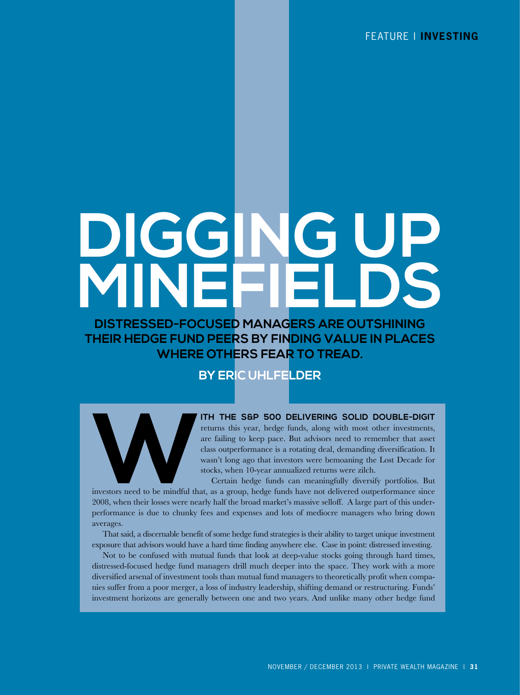FEATURE | **INVESTING**

# **ICGIN MINEFIELDS**

**DISTRESSED-FOCUSED MANAGERS ARE OUTSHINING THEIR HEDGE FUND PEERS BY FINDING VALUE IN PLACES WHERE OTHERS FEAR TO TREAD.**

# **BY ERIC UHLFELDER**



Certain hedge funds can meaningfully diversify portfolios. But investors need to be mindful that, as a group, hedge funds have not delivered outperformance since 2008, when their losses were nearly half the broad market's massive selloff. A large part of this underperformance is due to chunky fees and expenses and lots of mediocre managers who bring down averages.

That said, a discernable benefit of some hedge fund strategies is their ability to target unique investment exposure that advisors would have a hard time finding anywhere else. Case in point: distressed investing.

Not to be confused with mutual funds that look at deep-value stocks going through hard times, distressed-focused hedge fund managers drill much deeper into the space. They work with a more diversified arsenal of investment tools than mutual fund managers to theoretically profit when companies suffer from a poor merger, a loss of industry leadership, shifting demand or restructuring. Funds' investment horizons are generally between one and two years. And unlike many other hedge fund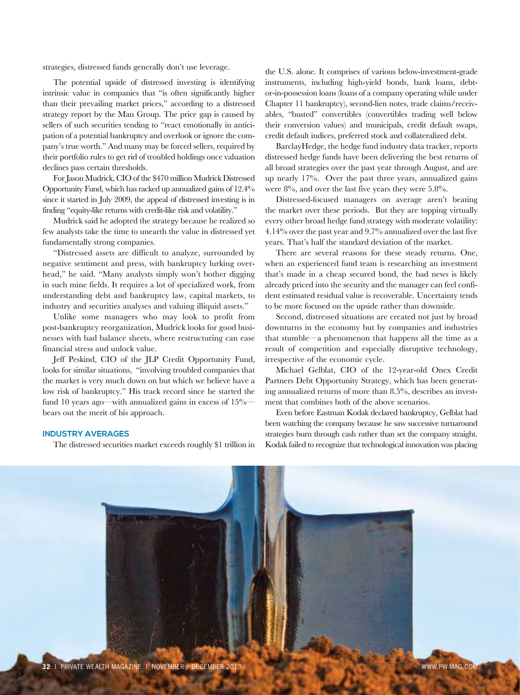strategies, distressed funds generally don't use leverage.

The potential upside of distressed investing is identifying intrinsic value in companies that "is often significantly higher than their prevailing market prices," according to a distressed strategy report by the Man Group. The price gap is caused by sellers of such securities tending to "react emotionally in anticipation of a potential bankruptcy and overlook or ignore the company's true worth." And many may be forced sellers, required by their portfolio rules to get rid of troubled holdings once valuation declines pass certain thresholds.

For Jason Mudrick, CIO of the \$470 million Mudrick Distressed Opportunity Fund, which has racked up annualized gains of 12.4% since it started in July 2009, the appeal of distressed investing is in finding "equity-like returns with credit-like risk and volatility."

Mudrick said he adopted the strategy because he realized so few analysts take the time to unearth the value in distressed yet fundamentally strong companies.

"Distressed assets are difficult to analyze, surrounded by negative sentiment and press, with bankruptcy lurking overhead," he said. "Many analysts simply won't bother digging in such mine fields. It requires a lot of specialized work, from understanding debt and bankruptcy law, capital markets, to industry and securities analyses and valuing illiquid assets."

Unlike some managers who may look to profit from post-bankruptcy reorganization, Mudrick looks for good businesses with bad balance sheets, where restructuring can ease financial stress and unlock value.

Jeff Peskind, CIO of the JLP Credit Opportunity Fund, looks for similar situations, "involving troubled companies that the market is very much down on but which we believe have a low risk of bankruptcy." His track record since he started the fund 10 years ago—with annualized gains in excess of  $15\%$  bears out the merit of his approach.

### **INDUSTRY AVERAGES**

The distressed securities market exceeds roughly \$1 trillion in

the U.S. alone. It comprises of various below-investment-grade instruments, including high-yield bonds, bank loans, debtor-in-possession loans (loans of a company operating while under Chapter 11 bankruptcy), second-lien notes, trade claims/receivables, "busted" convertibles (convertibles trading well below their conversion values) and municipals, credit default swaps, credit default indices, preferred stock and collateralized debt.

BarclayHedge, the hedge fund industry data tracker, reports distressed hedge funds have been delivering the best returns of all broad strategies over the past year through August, and are up nearly 17%. Over the past three years, annualized gains were  $8\%$ , and over the last five years they were  $5.8\%$ .

Distressed-focused managers on average aren't beating the market over these periods. But they are topping virtually every other broad hedge fund strategy with moderate volatility: 4.14% over the past year and 9.7% annualized over the last five years. That's half the standard deviation of the market.

There are several reasons for these steady returns. One, when an experienced fund team is researching an investment that's made in a cheap secured bond, the bad news is likely already priced into the security and the manager can feel confident estimated residual value is recoverable. Uncertainty tends to be more focused on the upside rather than downside.

Second, distressed situations are created not just by broad downturns in the economy but by companies and industries that stumble—a phenomenon that happens all the time as a result of competition and especially disruptive technology, irrespective of the economic cycle.

Michael Gelblat, CIO of the 12-year-old Onex Credit Partners Debt Opportunity Strategy, which has been generating annualized returns of more than 8.5%, describes an investment that combines both of the above scenarios.

Even before Eastman Kodak declared bankruptcy, Gelblat had been watching the company because he saw successive turnaround strategies burn through cash rather than set the company straight. Kodak failed to recognize that technological innovation was placing

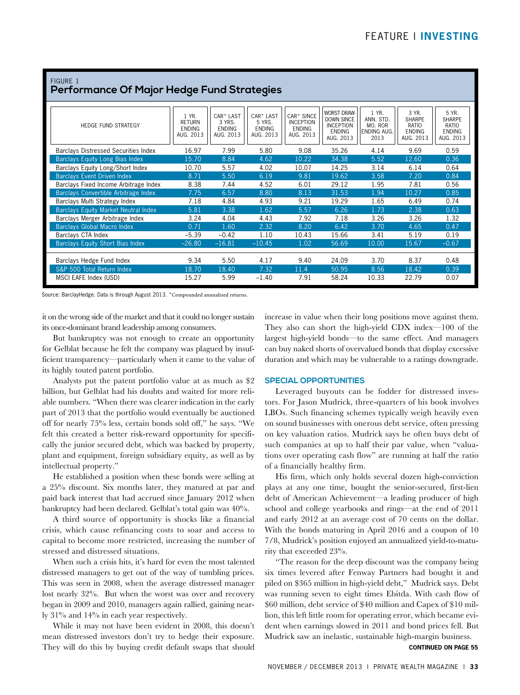| Performance Of Major Hedge Fund Strategies  |                                                      |                                                               |                                                               |                                                                          |                                                                                           |                                                      |                                                                      |                                                               |  |  |  |
|---------------------------------------------|------------------------------------------------------|---------------------------------------------------------------|---------------------------------------------------------------|--------------------------------------------------------------------------|-------------------------------------------------------------------------------------------|------------------------------------------------------|----------------------------------------------------------------------|---------------------------------------------------------------|--|--|--|
| HEDGE FUND STRATEGY                         | 1 YR.<br><b>RETURN</b><br><b>ENDING</b><br>AUG. 2013 | CAR <sup>*</sup> LAST<br>3 YRS.<br><b>ENDING</b><br>AUG. 2013 | CAR <sup>*</sup> LAST<br>5 YRS.<br><b>ENDING</b><br>AUG. 2013 | CAR <sup>*</sup> SINCE<br><b>INCEPTION</b><br><b>ENDING</b><br>AUG. 2013 | <b>WORST DRAW-</b><br><b>DOWN SINCE</b><br><b>INCEPTION</b><br><b>ENDING</b><br>AUG. 2013 | 1 YR.<br>ANN, STD.<br>MO. ROR<br>ENDING AUG.<br>2013 | 3 YR.<br><b>SHARPE</b><br><b>RATIO</b><br><b>ENDING</b><br>AUG. 2013 | 5 YR.<br><b>SHARPE</b><br>RATIO<br><b>ENDING</b><br>AUG. 2013 |  |  |  |
| <b>Barclays Distressed Securities Index</b> | 16.97                                                | 7.99                                                          | 5.80                                                          | 9.08                                                                     | 35.26                                                                                     | 4.14                                                 | 9.69                                                                 | 0.59                                                          |  |  |  |
| Barclays Equity Long Bias Index             | 15.70                                                | 8.84                                                          | 4.62                                                          | 10.22                                                                    | 34.38                                                                                     | 5.52                                                 | 12.60                                                                | 0.36                                                          |  |  |  |
| Barclays Equity Long/Short Index            | 10.70                                                | 5.57                                                          | 4.02                                                          | 10.07                                                                    | 14.25                                                                                     | 3.14                                                 | 6.14                                                                 | 0.64                                                          |  |  |  |
| <b>Barclays Event Driven Index</b>          | 8.71                                                 | 5.50                                                          | 6.19                                                          | 9.81                                                                     | 19.62                                                                                     | 3.58                                                 | 7.20                                                                 | 0.84                                                          |  |  |  |
| Barclays Fixed Income Arbitrage Index       | 8.38                                                 | 7.44                                                          | 4.52                                                          | 6.01                                                                     | 29.12                                                                                     | 1.95                                                 | 7.81                                                                 | 0.56                                                          |  |  |  |
| Barclays Convertible Arbitrage Index        | 7.75                                                 | 6.57                                                          | 8.80                                                          | 8.13                                                                     | 31.53                                                                                     | 1.94                                                 | 10.27                                                                | 0.85                                                          |  |  |  |
| Barclays Multi Strategy Index               | 7.18                                                 | 4.84                                                          | 4.93                                                          | 9.21                                                                     | 19.29                                                                                     | 1.65                                                 | 6.49                                                                 | 0.74                                                          |  |  |  |
| <b>Barclays Equity Market Neutral Index</b> | 5.81                                                 | 3.38                                                          | 1.62                                                          | 5.57                                                                     | 6.26                                                                                      | 1.73                                                 | 2.38                                                                 | 0.63                                                          |  |  |  |
| Barclays Merger Arbitrage Index             | 3.24                                                 | 4.04                                                          | 4.43                                                          | 7.92                                                                     | 7.18                                                                                      | 3.26                                                 | 3.26                                                                 | 1.32                                                          |  |  |  |
| <b>Barclays Global Macro Index</b>          | 0.71                                                 | 1.60                                                          | 2.32                                                          | 8.20                                                                     | 6.42                                                                                      | 3.70                                                 | 4.65                                                                 | 0.47                                                          |  |  |  |
| Barclays CTA Index                          | $-5.39$                                              | $-0.42$                                                       | 1.10                                                          | 10.43                                                                    | 15.66                                                                                     | 3.41                                                 | 5.19                                                                 | 0.19                                                          |  |  |  |
| <b>Barclays Equity Short Bias Index</b>     | $-26.80$                                             | $-16.81$                                                      | $-10.45$                                                      | 1.02                                                                     | 56.69                                                                                     | 10.00                                                | 15.67                                                                | $-0.67$                                                       |  |  |  |
| Barclays Hedge Fund Index                   | 9.34                                                 | 5.50                                                          | 4.17                                                          | 9.40                                                                     | 24.09                                                                                     | 3.70                                                 | 8.37                                                                 | 0.48                                                          |  |  |  |
| S&P 500 Total Return Index                  | 18.70                                                | 18.40                                                         | 7.32                                                          | 11.4                                                                     | 50.95                                                                                     | 8.56                                                 | 18.42                                                                | 0.39                                                          |  |  |  |
| MSCI EAFE Index (USD)                       | 15.27                                                | 5.99                                                          | $-1.40$                                                       | 7.91                                                                     | 58.24                                                                                     | 10.33                                                | 22.79                                                                | 0.07                                                          |  |  |  |

# FIGURE 1

Source: BarclayHedge. Data is through August 2013. \*Compounded annualized returns.

it on the wrong side of the market and that it could no longer sustain its once-dominant brand leadership among consumers.

But bankruptcy was not enough to create an opportunity for Gelblat because he felt the company was plagued by insufficient transparency—particularly when it came to the value of its highly touted patent portfolio.

Analysts put the patent portfolio value at as much as \$2 billion, but Gelblat had his doubts and waited for more reliable numbers. "When there was clearer indication in the early part of 2013 that the portfolio would eventually be auctioned off for nearly 75% less, certain bonds sold off," he says. "We felt this created a better risk-reward opportunity for specifically the junior secured debt, which was backed by property, plant and equipment, foreign subsidiary equity, as well as by intellectual property."

He established a position when these bonds were selling at a 25% discount. Six months later, they matured at par and paid back interest that had accrued since January 2012 when bankruptcy had been declared. Gelblat's total gain was 40%.

A third source of opportunity is shocks like a financial crisis, which cause refinancing costs to soar and access to capital to become more restricted, increasing the number of stressed and distressed situations.

When such a crisis hits, it's hard for even the most talented distressed managers to get out of the way of tumbling prices. This was seen in 2008, when the average distressed manager lost nearly 32%. But when the worst was over and recovery began in 2009 and 2010, managers again rallied, gaining nearly 31% and 14% in each year respectively.

While it may not have been evident in 2008, this doesn't mean distressed investors don't try to hedge their exposure. They will do this by buying credit default swaps that should increase in value when their long positions move against them. They also can short the high-yield CDX index—100 of the largest high-yield bonds—to the same effect. And managers can buy naked shorts of overvalued bonds that display excessive duration and which may be vulnerable to a ratings downgrade.

# **SPECIAL OPPORTUNITIES**

Leveraged buyouts can be fodder for distressed investors. For Jason Mudrick, three-quarters of his book involves LBOs. Such financing schemes typically weigh heavily even on sound businesses with onerous debt service, often pressing on key valuation ratios. Mudrick says he often buys debt of such companies at up to half their par value, when "valuations over operating cash flow" are running at half the ratio of a financially healthy firm.

His firm, which only holds several dozen high-conviction plays at any one time, bought the senior-secured, first-lien debt of American Achievement—a leading producer of high school and college yearbooks and rings—at the end of 2011 and early 2012 at an average cost of 70 cents on the dollar. With the bonds maturing in April 2016 and a coupon of 10 7/8, Mudrick's position enjoyed an annualized yield-to-maturity that exceeded 23%.

"The reason for the deep discount was the company being six times levered after Fenway Partners had bought it and piled on \$365 million in high-yield debt," Mudrick says. Debt was running seven to eight times Ebitda. With cash flow of \$60 million, debt service of \$40 million and Capex of \$10 million, this left little room for operating error, which became evident when earnings slowed in 2011 and bond prices fell. But Mudrick saw an inelastic, sustainable high-margin business.

# **CONTINUED ON PAGE 55**